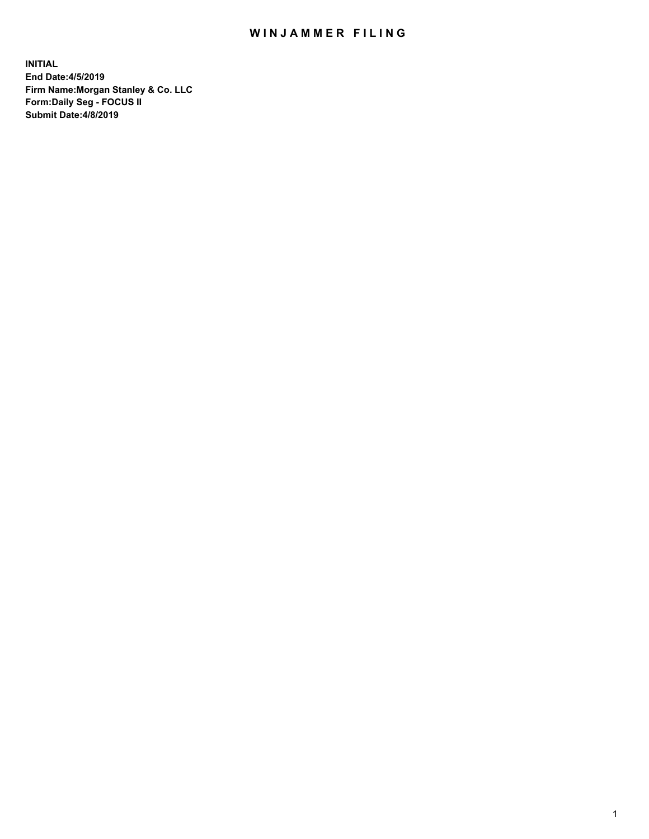## WIN JAMMER FILING

**INITIAL End Date:4/5/2019 Firm Name:Morgan Stanley & Co. LLC Form:Daily Seg - FOCUS II Submit Date:4/8/2019**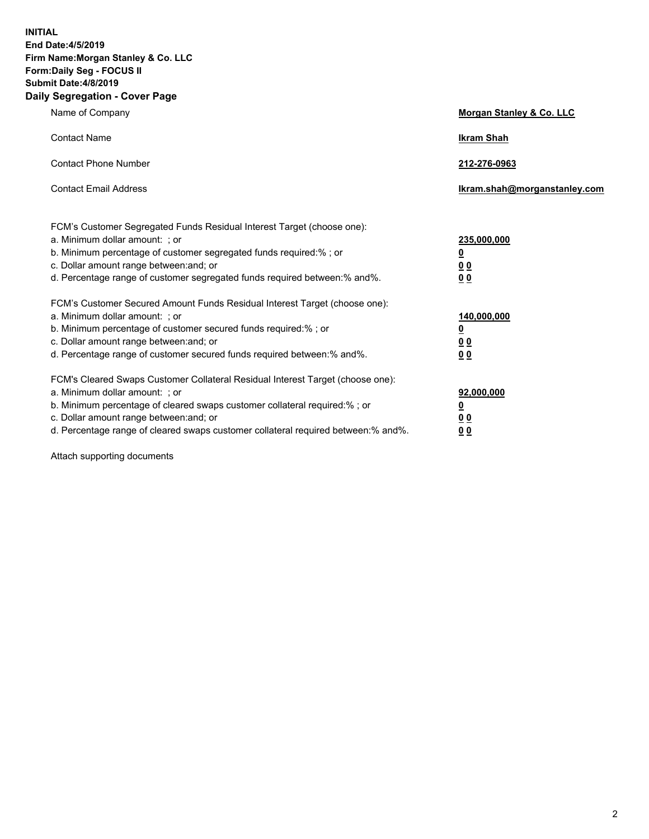**INITIAL End Date:4/5/2019 Firm Name:Morgan Stanley & Co. LLC Form:Daily Seg - FOCUS II Submit Date:4/8/2019 Daily Segregation - Cover Page**

| Name of Company                                                                                                                                                                                                                                                                                                                | Morgan Stanley & Co. LLC                                    |
|--------------------------------------------------------------------------------------------------------------------------------------------------------------------------------------------------------------------------------------------------------------------------------------------------------------------------------|-------------------------------------------------------------|
| <b>Contact Name</b>                                                                                                                                                                                                                                                                                                            | <b>Ikram Shah</b>                                           |
| <b>Contact Phone Number</b>                                                                                                                                                                                                                                                                                                    | 212-276-0963                                                |
| <b>Contact Email Address</b>                                                                                                                                                                                                                                                                                                   | Ikram.shah@morganstanley.com                                |
| FCM's Customer Segregated Funds Residual Interest Target (choose one):<br>a. Minimum dollar amount: ; or<br>b. Minimum percentage of customer segregated funds required:% ; or<br>c. Dollar amount range between: and; or<br>d. Percentage range of customer segregated funds required between:% and%.                         | 235,000,000<br><u>0</u><br>0 <sub>0</sub><br>00             |
| FCM's Customer Secured Amount Funds Residual Interest Target (choose one):<br>a. Minimum dollar amount: ; or<br>b. Minimum percentage of customer secured funds required:% ; or<br>c. Dollar amount range between: and; or<br>d. Percentage range of customer secured funds required between:% and%.                           | 140,000,000<br><u>0</u><br>0 <sub>0</sub><br>0 <sub>0</sub> |
| FCM's Cleared Swaps Customer Collateral Residual Interest Target (choose one):<br>a. Minimum dollar amount: ; or<br>b. Minimum percentage of cleared swaps customer collateral required:% ; or<br>c. Dollar amount range between: and; or<br>d. Percentage range of cleared swaps customer collateral required between:% and%. | 92,000,000<br><u>0</u><br>0 Q<br>0 <sub>0</sub>             |

Attach supporting documents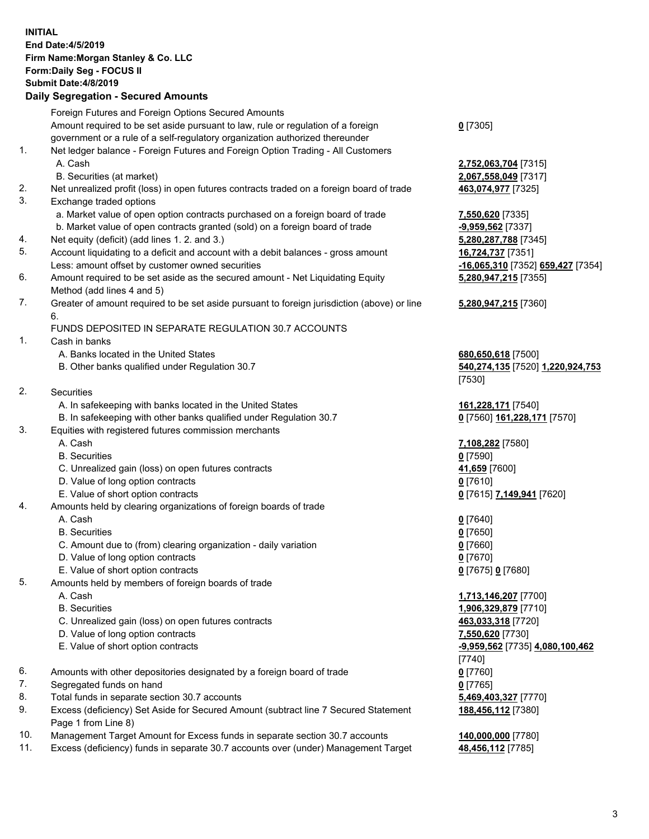## **INITIAL End Date:4/5/2019 Firm Name:Morgan Stanley & Co. LLC Form:Daily Seg - FOCUS II Submit Date:4/8/2019 Daily Segregation - Secured Amounts** Foreign Futures and Foreign Options Secured Amounts Amount required to be set aside pursuant to law, rule or regulation of a foreign government or a rule of a self-regulatory organization authorized thereunder **0** [7305] 1. Net ledger balance - Foreign Futures and Foreign Option Trading - All Customers A. Cash **2,752,063,704** [7315] B. Securities (at market) **2,067,558,049** [7317] 2. Net unrealized profit (loss) in open futures contracts traded on a foreign board of trade **463,074,977** [7325] 3. Exchange traded options a. Market value of open option contracts purchased on a foreign board of trade **7,550,620** [7335] b. Market value of open contracts granted (sold) on a foreign board of trade **-9,959,562** [7337] 4. Net equity (deficit) (add lines 1. 2. and 3.) **5,280,287,788** [7345] 5. Account liquidating to a deficit and account with a debit balances - gross amount **16,724,737** [7351] Less: amount offset by customer owned securities **-16,065,310** [7352] **659,427** [7354] 6. Amount required to be set aside as the secured amount - Net Liquidating Equity Method (add lines 4 and 5) 7. Greater of amount required to be set aside pursuant to foreign jurisdiction (above) or line 6. FUNDS DEPOSITED IN SEPARATE REGULATION 30.7 ACCOUNTS 1. Cash in banks A. Banks located in the United States **680,650,618** [7500] B. Other banks qualified under Regulation 30.7 **540,274,135** [7520] **1,220,924,753** [7530] 2. Securities A. In safekeeping with banks located in the United States **161,228,171** [7540] B. In safekeeping with other banks qualified under Regulation 30.7 **0** [7560] **161,228,171** [7570] 3. Equities with registered futures commission merchants A. Cash **7,108,282** [7580] B. Securities **0** [7590] C. Unrealized gain (loss) on open futures contracts **41,659** [7600] D. Value of long option contracts **0** [7610] E. Value of short option contracts **0** [7615] **7,149,941** [7620] 4. Amounts held by clearing organizations of foreign boards of trade A. Cash **0** [7640] B. Securities **0** [7650] C. Amount due to (from) clearing organization - daily variation **0** [7660] D. Value of long option contracts **0** [7670] E. Value of short option contracts **0** [7675] **0** [7680] 5. Amounts held by members of foreign boards of trade A. Cash **1,713,146,207** [7700] B. Securities **1,906,329,879** [7710] C. Unrealized gain (loss) on open futures contracts **463,033,318** [7720] D. Value of long option contracts **7,550,620** [7730] E. Value of short option contracts **-9,959,562** [7735] **4,080,100,462** [7740] 6. Amounts with other depositories designated by a foreign board of trade **0** [7760] 7. Segregated funds on hand **0** [7765] 8. Total funds in separate section 30.7 accounts **5,469,403,327** [7770] 9. Excess (deficiency) Set Aside for Secured Amount (subtract line 7 Secured Statement Page 1 from Line 8) **188,456,112** [7380]

- 10. Management Target Amount for Excess funds in separate section 30.7 accounts **140,000,000** [7780]
- 11. Excess (deficiency) funds in separate 30.7 accounts over (under) Management Target **48,456,112** [7785]

**5,280,947,215** [7355] **5,280,947,215** [7360]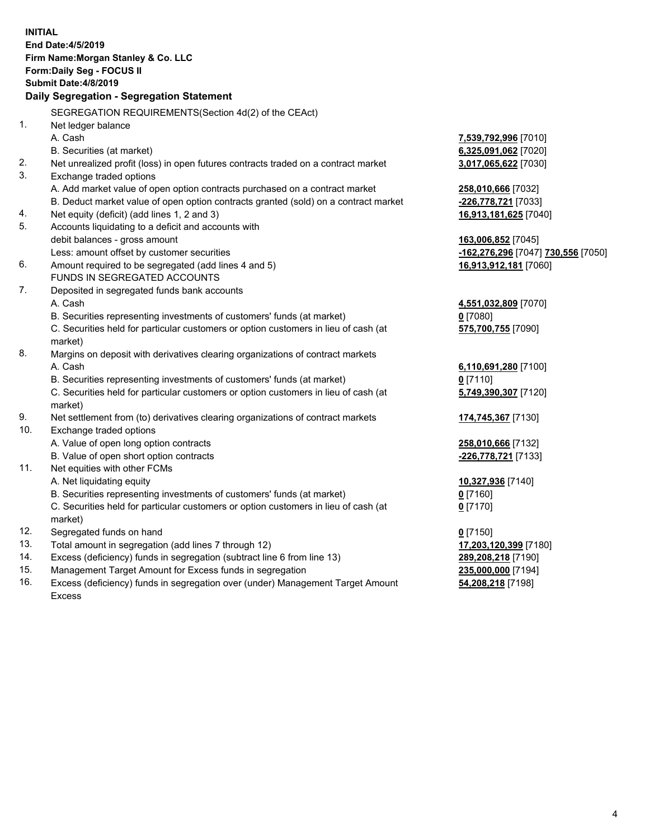|            | <b>INITIAL</b><br><b>End Date:4/5/2019</b>                                                                                          |                                                        |
|------------|-------------------------------------------------------------------------------------------------------------------------------------|--------------------------------------------------------|
|            | Firm Name: Morgan Stanley & Co. LLC                                                                                                 |                                                        |
|            | Form: Daily Seg - FOCUS II                                                                                                          |                                                        |
|            | <b>Submit Date: 4/8/2019</b>                                                                                                        |                                                        |
|            | Daily Segregation - Segregation Statement                                                                                           |                                                        |
|            | SEGREGATION REQUIREMENTS(Section 4d(2) of the CEAct)                                                                                |                                                        |
| 1.         | Net ledger balance                                                                                                                  |                                                        |
|            | A. Cash                                                                                                                             | 7,539,792,996 [7010]                                   |
|            | B. Securities (at market)                                                                                                           | 6,325,091,062 [7020]                                   |
| 2.         | Net unrealized profit (loss) in open futures contracts traded on a contract market                                                  | 3,017,065,622 [7030]                                   |
| 3.         | Exchange traded options                                                                                                             |                                                        |
|            | A. Add market value of open option contracts purchased on a contract market                                                         | 258,010,666 [7032]                                     |
|            | B. Deduct market value of open option contracts granted (sold) on a contract market                                                 | -226,778,721 [7033]                                    |
| 4.         | Net equity (deficit) (add lines 1, 2 and 3)                                                                                         | 16,913,181,625 [7040]                                  |
| 5.         | Accounts liquidating to a deficit and accounts with                                                                                 |                                                        |
|            | debit balances - gross amount                                                                                                       | 163,006,852 [7045]                                     |
|            | Less: amount offset by customer securities                                                                                          | <u>-162,276,296</u> [7047] <mark>730,556</mark> [7050] |
| 6.         | Amount required to be segregated (add lines 4 and 5)                                                                                | 16,913,912,181 [7060]                                  |
|            | FUNDS IN SEGREGATED ACCOUNTS                                                                                                        |                                                        |
| 7.         | Deposited in segregated funds bank accounts                                                                                         |                                                        |
|            | A. Cash                                                                                                                             | 4,551,032,809 [7070]                                   |
|            | B. Securities representing investments of customers' funds (at market)                                                              | $0$ [7080]                                             |
|            | C. Securities held for particular customers or option customers in lieu of cash (at                                                 | 575,700,755 [7090]                                     |
|            | market)                                                                                                                             |                                                        |
| 8.         | Margins on deposit with derivatives clearing organizations of contract markets                                                      |                                                        |
|            | A. Cash                                                                                                                             | 6,110,691,280 [7100]                                   |
|            | B. Securities representing investments of customers' funds (at market)                                                              | $0$ [7110]                                             |
|            | C. Securities held for particular customers or option customers in lieu of cash (at                                                 | 5,749,390,307 [7120]                                   |
|            | market)                                                                                                                             |                                                        |
| 9.         | Net settlement from (to) derivatives clearing organizations of contract markets                                                     | 174,745,367 [7130]                                     |
| 10.        | Exchange traded options                                                                                                             |                                                        |
|            | A. Value of open long option contracts                                                                                              | 258,010,666 [7132]                                     |
|            | B. Value of open short option contracts                                                                                             | -226,778,721 [7133]                                    |
| 11.        | Net equities with other FCMs                                                                                                        |                                                        |
|            | A. Net liquidating equity                                                                                                           | 10,327,936 [7140]                                      |
|            | B. Securities representing investments of customers' funds (at market)                                                              | 0[7160]                                                |
|            | C. Securities held for particular customers or option customers in lieu of cash (at                                                 | $0$ [7170]                                             |
|            | market)                                                                                                                             |                                                        |
| 12.<br>13. | Segregated funds on hand<br>Total amount in segregation (add lines 7 through 12)                                                    | $0$ [7150]                                             |
| 14.        |                                                                                                                                     | 17,203,120,399 [7180]                                  |
| 15.        | Excess (deficiency) funds in segregation (subtract line 6 from line 13)<br>Management Target Amount for Excess funds in segregation | 289,208,218 [7190]<br>235,000,000 [7194]               |
| 16.        | Excess (deficiency) funds in segregation over (under) Management Target Amount                                                      | 54,208,218 [7198]                                      |
|            |                                                                                                                                     |                                                        |

16. Excess (deficiency) funds in segregation over (under) Management Target Amount Excess